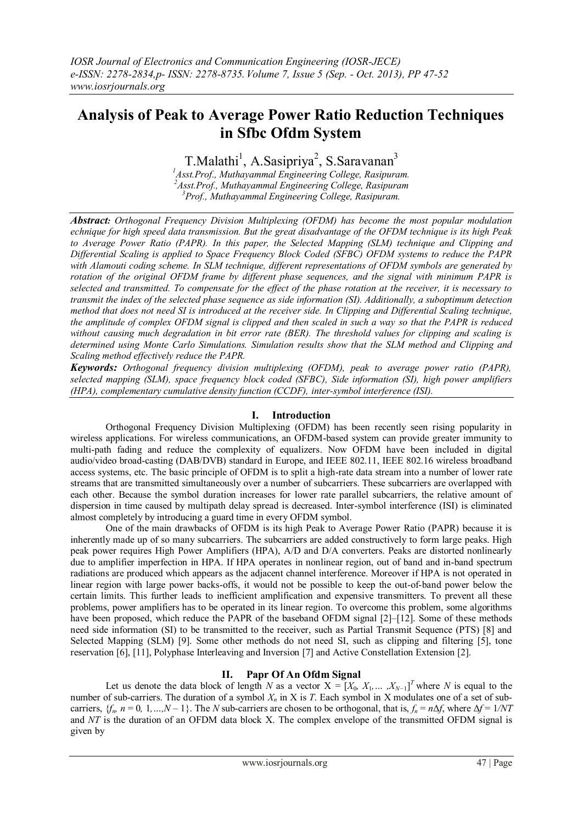# **Analysis of Peak to Average Power Ratio Reduction Techniques in Sfbc Ofdm System**

T.Malathi<sup>1</sup>, A.Sasipriya<sup>2</sup>, S.Saravanan<sup>3</sup>

*<sup>1</sup>Asst.Prof., Muthayammal Engineering College, Rasipuram. <sup>2</sup>Asst.Prof., Muthayammal Engineering College, Rasipuram <sup>3</sup>Prof., Muthayammal Engineering College, Rasipuram.*

*Abstract: Orthogonal Frequency Division Multiplexing (OFDM) has become the most popular modulation echnique for high speed data transmission. But the great disadvantage of the OFDM technique is its high Peak to Average Power Ratio (PAPR). In this paper, the Selected Mapping (SLM) technique and Clipping and Differential Scaling is applied to Space Frequency Block Coded (SFBC) OFDM systems to reduce the PAPR with Alamouti coding scheme. In SLM technique, different representations of OFDM symbols are generated by rotation of the original OFDM frame by different phase sequences, and the signal with minimum PAPR is selected and transmitted. To compensate for the effect of the phase rotation at the receiver, it is necessary to transmit the index of the selected phase sequence as side information (SI). Additionally, a suboptimum detection method that does not need SI is introduced at the receiver side. In Clipping and Differential Scaling technique, the amplitude of complex OFDM signal is clipped and then scaled in such a way so that the PAPR is reduced without causing much degradation in bit error rate (BER). The threshold values for clipping and scaling is determined using Monte Carlo Simulations. Simulation results show that the SLM method and Clipping and Scaling method effectively reduce the PAPR.*

*Keywords: Orthogonal frequency division multiplexing (OFDM), peak to average power ratio (PAPR), selected mapping (SLM), space frequency block coded (SFBC), Side information (SI), high power amplifiers (HPA), complementary cumulative density function (CCDF), inter-symbol interference (ISI).*

# **I. Introduction**

Orthogonal Frequency Division Multiplexing (OFDM) has been recently seen rising popularity in wireless applications. For wireless communications, an OFDM-based system can provide greater immunity to multi-path fading and reduce the complexity of equalizers. Now OFDM have been included in digital audio/video broad-casting (DAB/DVB) standard in Europe, and IEEE 802.11, IEEE 802.16 wireless broadband access systems, etc. The basic principle of OFDM is to split a high-rate data stream into a number of lower rate streams that are transmitted simultaneously over a number of subcarriers. These subcarriers are overlapped with each other. Because the symbol duration increases for lower rate parallel subcarriers, the relative amount of dispersion in time caused by multipath delay spread is decreased. Inter-symbol interference (ISI) is eliminated almost completely by introducing a guard time in every OFDM symbol.

One of the main drawbacks of OFDM is its high Peak to Average Power Ratio (PAPR) because it is inherently made up of so many subcarriers. The subcarriers are added constructively to form large peaks. High peak power requires High Power Amplifiers (HPA), A/D and D/A converters. Peaks are distorted nonlinearly due to amplifier imperfection in HPA. If HPA operates in nonlinear region, out of band and in-band spectrum radiations are produced which appears as the adjacent channel interference. Moreover if HPA is not operated in linear region with large power backs-offs, it would not be possible to keep the out-of-band power below the certain limits. This further leads to inefficient amplification and expensive transmitters. To prevent all these problems, power amplifiers has to be operated in its linear region. To overcome this problem, some algorithms have been proposed, which reduce the PAPR of the baseband OFDM signal [2]–[12]. Some of these methods need side information (SI) to be transmitted to the receiver, such as Partial Transmit Sequence (PTS) [8] and Selected Mapping (SLM) [9]. Some other methods do not need SI, such as clipping and filtering [5], tone reservation [6], [11], Polyphase Interleaving and Inversion [7] and Active Constellation Extension [2].

## **II. Papr Of An Ofdm Signal**

Let us denote the data block of length *N* as a vector  $X = [X_0, X_1, \dots, X_{N-1}]^T$  where *N* is equal to the number of sub-carriers. The duration of a symbol  $X_n$  in X is *T*. Each symbol in X modulates one of a set of subcarriers,  ${f_n, n = 0, 1, ..., N - 1}$ . The *N* sub-carriers are chosen to be orthogonal, that is,  $f_n = n\Delta f$ , where  $\Delta f = 1/NT$ and *NT* is the duration of an OFDM data block X. The complex envelope of the transmitted OFDM signal is given by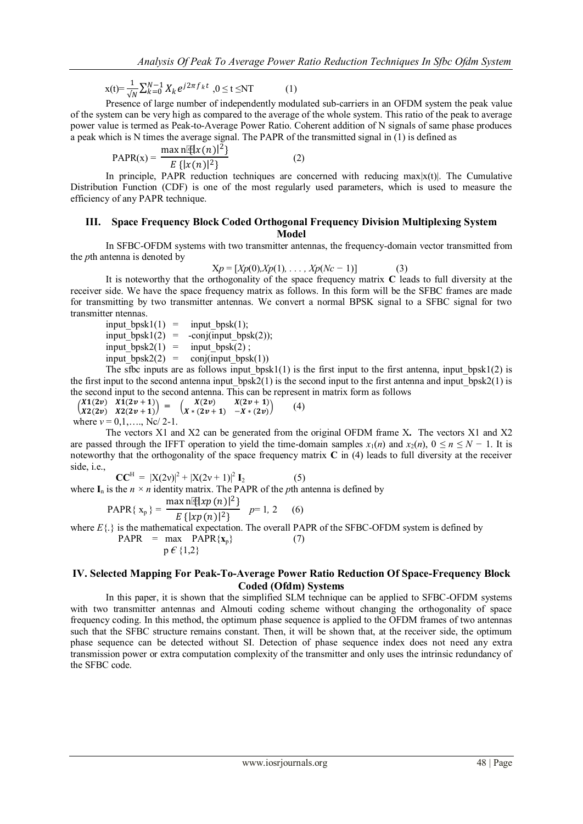$$
x(t) = \frac{1}{\sqrt{N}} \sum_{k=0}^{N-1} X_k e^{j2\pi f_k t}, 0 \le t \le NT
$$
 (1)

Presence of large number of independently modulated sub-carriers in an OFDM system the peak value of the system can be very high as compared to the average of the whole system. This ratio of the peak to average power value is termed as Peak-to-Average Power Ratio. Coherent addition of N signals of same phase produces a peak which is N times the average signal. The PAPR of the transmitted signal in (1) is defined as

PAPR(x) = 
$$
\frac{\max n \cdot \mathbb{I}[x(n)]^2}{E\{ |x(n)|^2 \}}
$$
 (2)

In principle, PAPR reduction techniques are concerned with reducing  $max|x(t)|$ . The Cumulative Distribution Function (CDF) is one of the most regularly used parameters, which is used to measure the efficiency of any PAPR technique.

#### **III. Space Frequency Block Coded Orthogonal Frequency Division Multiplexing System Model**

In SFBC-OFDM systems with two transmitter antennas, the frequency-domain vector transmitted from the *p*th antenna is denoted by

$$
Xp = [Xp(0), Xp(1), \dots, Xp(Nc-1)]
$$
 (3)

It is noteworthy that the orthogonality of the space frequency matrix **C** leads to full diversity at the receiver side. We have the space frequency matrix as follows. In this form will be the SFBC frames are made for transmitting by two transmitter antennas. We convert a normal BPSK signal to a SFBC signal for two transmitter ntennas.

input bpsk1(1) = input bpsk(1);  $input_bpsk1(2) = -conj(input_bpsk(2));$ input\_bpsk2(1) = input\_bpsk(2);<br>input\_bpsk2(2) = conj(input\_bpsk  $\overline{\text{conj}(\text{input } \text{bpsk}(1))}$ 

The sfbc inputs are as follows input  $bpsk1(1)$  is the first input to the first antenna, input  $bpsk1(2)$  is the first input to the second antenna input  $bpsk2(1)$  is the second input to the first antenna and input  $bpsk2(1)$  is the second input to the second antenna. This can be represent in matrix form as follows

 $X1(2v)$   $X1(2v + 1)$  $\begin{pmatrix} 2\sqrt{2} & 4\sqrt{2} & 4\sqrt{2} & 4\sqrt{2} & 4\sqrt{2} & 4\sqrt{2} & 4\sqrt{2} & 4\sqrt{2} & 4\sqrt{2} & 4\sqrt{2} & 4\sqrt{2} & 4\sqrt{2} & 4\sqrt{2} & 4\sqrt{2} & 4\sqrt{2} & 4\sqrt{2} & 4\sqrt{2} & 4\sqrt{2} & 4\sqrt{2} & 4\sqrt{2} & 4\sqrt{2} & 4\sqrt{2} & 4\sqrt{2} & 4\sqrt{2} & 4\sqrt{2} & 4\sqrt{2} & 4\sqrt{2$  $X(2v)$   $X(2v + 1)$  $X * (2v + 1) -X * (2v)$  $(4)$ where  $v = 0, 1, \ldots,$  Nc/ 2-1.

The vectors X1 and X2 can be generated from the original OFDM frame X**.** The vectors X1 and X2 are passed through the IFFT operation to yield the time-domain samples  $x_1(n)$  and  $x_2(n)$ ,  $0 \le n \le N - 1$ . It is noteworthy that the orthogonality of the space frequency matrix **C** in (4) leads to full diversity at the receiver side, i.e.,

 $CC^H = |X(2v)|^2 + |X(2v + 1)|^2$  $\mathbf{I}_2$  (5) where  $I_n$  is the  $n \times n$  identity matrix. The PAPR of the *p*th antenna is defined by

PAPR{ 
$$
x_p
$$
} = 
$$
\frac{\max \left( \frac{x p(n)}{2} \right)}{E \{ |xp(n)|^2 \}}
$$
 p= 1, 2 (6)

where  $E\{\cdot\}$  is the mathematical expectation. The overall PAPR of the SFBC-OFDM system is defined by

$$
PAPR = \max_{p \in \{1,2\}} PAPR\{\mathbf{x}_p\} \tag{7}
$$

## **IV. Selected Mapping For Peak-To-Average Power Ratio Reduction Of Space-Frequency Block Coded (Ofdm) Systems**

In this paper, it is shown that the simplified SLM technique can be applied to SFBC-OFDM systems with two transmitter antennas and Almouti coding scheme without changing the orthogonality of space frequency coding. In this method, the optimum phase sequence is applied to the OFDM frames of two antennas such that the SFBC structure remains constant. Then, it will be shown that, at the receiver side, the optimum phase sequence can be detected without SI. Detection of phase sequence index does not need any extra transmission power or extra computation complexity of the transmitter and only uses the intrinsic redundancy of the SFBC code.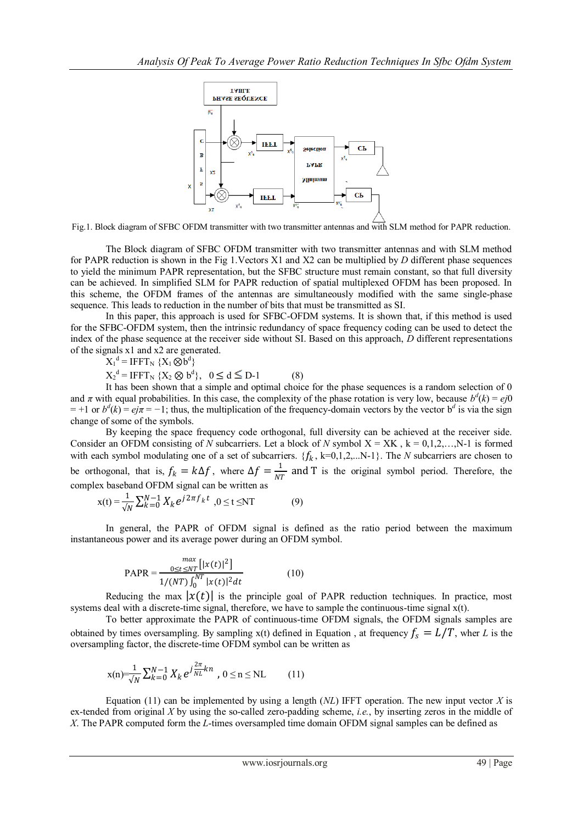

Fig.1. Block diagram of SFBC OFDM transmitter with two transmitter antennas and with SLM method for PAPR reduction.

The Block diagram of SFBC OFDM transmitter with two transmitter antennas and with SLM method for PAPR reduction is shown in the Fig 1.Vectors X1 and X2 can be multiplied by *D* different phase sequences to yield the minimum PAPR representation, but the SFBC structure must remain constant, so that full diversity can be achieved. In simplified SLM for PAPR reduction of spatial multiplexed OFDM has been proposed. In this scheme, the OFDM frames of the antennas are simultaneously modified with the same single-phase sequence. This leads to reduction in the number of bits that must be transmitted as SI.

In this paper, this approach is used for SFBC-OFDM systems. It is shown that, if this method is used for the SFBC-OFDM system, then the intrinsic redundancy of space frequency coding can be used to detect the index of the phase sequence at the receiver side without SI. Based on this approach, *D* different representations of the signals x1 and x2 are generated.

 $X_1^d = IFFT_N \{X_1 \otimes b^d\}$ 

 $X_2^d = IFFT_N \{X_2 \otimes b^d\}, \ \ 0 \le d \le D-1$  (8)

It has been shown that a simple and optimal choice for the phase sequences is a random selection of 0 and  $\pi$  with equal probabilities. In this case, the complexity of the phase rotation is very low, because  $b^d(k) = ej0$  $= +1$  or  $b^d(k) = ej\pi = -1$ ; thus, the multiplication of the frequency-domain vectors by the vector  $b^d$  is via the sign change of some of the symbols.

By keeping the space frequency code orthogonal, full diversity can be achieved at the receiver side. Consider an OFDM consisting of *N* subcarriers. Let a block of *N* symbol  $X = XK$ ,  $k = 0,1,2,...,N-1$  is formed with each symbol modulating one of a set of subcarriers.  $\{f_k, k=0,1,2,...N-1\}$ . The *N* subcarriers are chosen to be orthogonal, that is,  $f_k = k\Delta f$ , where  $\Delta f = \frac{1}{N^2}$  $\frac{1}{NT}$  and T is the original symbol period. Therefore, the complex baseband OFDM signal can be written as

$$
x(t) = \frac{1}{\sqrt{N}} \sum_{k=0}^{N-1} X_k e^{j2\pi f_k t}, 0 \le t \le NT
$$
 (9)

In general, the PAPR of OFDM signal is defined as the ratio period between the maximum instantaneous power and its average power during an OFDM symbol.

$$
PAPR = \frac{\max_{0 \le t \le NT} [|x(t)|^2]}{1/(NT) \int_0^{NT} |x(t)|^2 dt}
$$
(10)

Reducing the max  $|x(t)|$  is the principle goal of PAPR reduction techniques. In practice, most systems deal with a discrete-time signal, therefore, we have to sample the continuous-time signal x(t).

To better approximate the PAPR of continuous-time OFDM signals, the OFDM signals samples are obtained by times oversampling. By sampling x(t) defined in Equation, at frequency  $f_s = L/T$ , wher *L* is the oversampling factor, the discrete-time OFDM symbol can be written as

$$
x(n) = \frac{1}{\sqrt{N}} \sum_{k=0}^{N-1} X_k e^{j \frac{2\pi}{NL} k n}, 0 \le n \le NL \qquad (11)
$$

Equation (11) can be implemented by using a length  $(NL)$  IFFT operation. The new input vector *X* is ex-tended from original *X* by using the so-called zero-padding scheme, *i.e.*, by inserting zeros in the middle of *X*. The PAPR computed form the *L*-times oversampled time domain OFDM signal samples can be defined as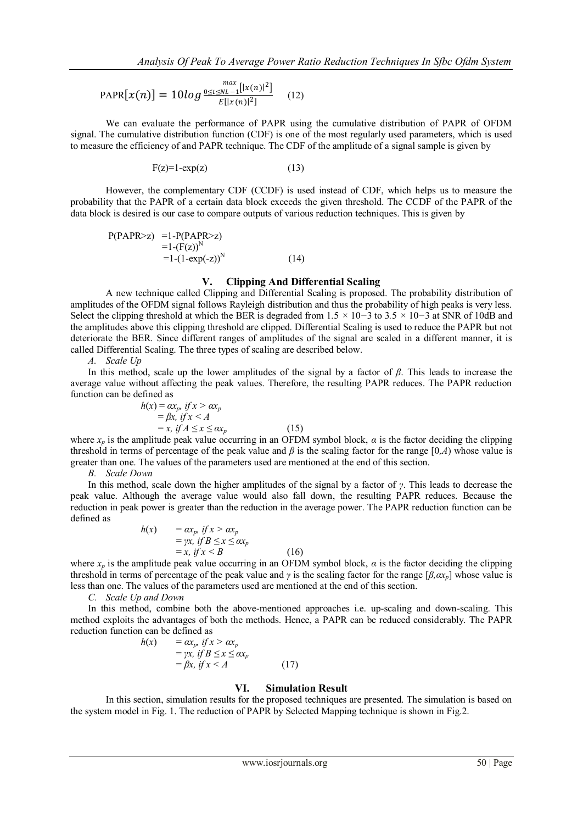$$
PAPR[x(n)] = 10log \frac{\max\limits_{0 \le t \le NL-1} [|x(n)|^2]}{E[|x(n)|^2]} \quad (12)
$$

We can evaluate the performance of PAPR using the cumulative distribution of PAPR of OFDM signal. The cumulative distribution function (CDF) is one of the most regularly used parameters, which is used to measure the efficiency of and PAPR technique. The CDF of the amplitude of a signal sample is given by

$$
F(z)=1-\exp(z) \tag{13}
$$

However, the complementary CDF (CCDF) is used instead of CDF, which helps us to measure the probability that the PAPR of a certain data block exceeds the given threshold. The CCDF of the PAPR of the data block is desired is our case to compare outputs of various reduction techniques. This is given by

$$
P(PAPR>z) = 1 - P(PAPR>z)
$$
  
= 1 - (F(z))<sup>N</sup>  
= 1 - (1-exp(-z))<sup>N</sup> (14)

#### **V. Clipping And Differential Scaling**

A new technique called Clipping and Differential Scaling is proposed. The probability distribution of amplitudes of the OFDM signal follows Rayleigh distribution and thus the probability of high peaks is very less. Select the clipping threshold at which the BER is degraded from 1*.*5 *×* 10*−*3 to 3*.*5 *×* 10*−*3 at SNR of 10dB and the amplitudes above this clipping threshold are clipped. Differential Scaling is used to reduce the PAPR but not deteriorate the BER. Since different ranges of amplitudes of the signal are scaled in a different manner, it is called Differential Scaling. The three types of scaling are described below.

*A. Scale Up*

In this method, scale up the lower amplitudes of the signal by a factor of *β*. This leads to increase the average value without affecting the peak values. Therefore, the resulting PAPR reduces. The PAPR reduction function can be defined as

$$
h(x) = \alpha x_p, \text{ if } x > \alpha x_p
$$
  
=  $\beta x, \text{ if } x < A$   
= x, \text{ if } A \le x \le \alpha x\_p (15)

where  $x_p$  is the amplitude peak value occurring in an OFDM symbol block,  $\alpha$  is the factor deciding the clipping threshold in terms of percentage of the peak value and  $\beta$  is the scaling factor for the range [0,*A*) whose value is greater than one. The values of the parameters used are mentioned at the end of this section.

*B. Scale Down*

In this method, scale down the higher amplitudes of the signal by a factor of *γ*. This leads to decrease the peak value. Although the average value would also fall down, the resulting PAPR reduces. Because the reduction in peak power is greater than the reduction in the average power. The PAPR reduction function can be defined as

$$
h(x) = \alpha x_p, \quad \text{if } x > \alpha x_p
$$
  
=  $\gamma x, \quad \text{if } B \le x \le \alpha x_p$   
=  $x, \quad \text{if } x < B$  (16)

where  $x<sub>p</sub>$  is the amplitude peak value occurring in an OFDM symbol block,  $\alpha$  is the factor deciding the clipping threshold in terms of percentage of the peak value and *γ* is the scaling factor for the range [*β,αxp*] whose value is less than one. The values of the parameters used are mentioned at the end of this section.

*C. Scale Up and Down*

In this method, combine both the above-mentioned approaches i.e. up-scaling and down-scaling. This method exploits the advantages of both the methods. Hence, a PAPR can be reduced considerably. The PAPR reduction function can be defined as

$$
h(x) = \alpha x_p, if x > \alpha x_p
$$
  
=  $\gamma x, if B \le x \le \alpha x_p$   
=  $\beta x, if x < A$  (17)

#### **VI. Simulation Result**

In this section, simulation results for the proposed techniques are presented. The simulation is based on the system model in Fig. 1. The reduction of PAPR by Selected Mapping technique is shown in Fig.2.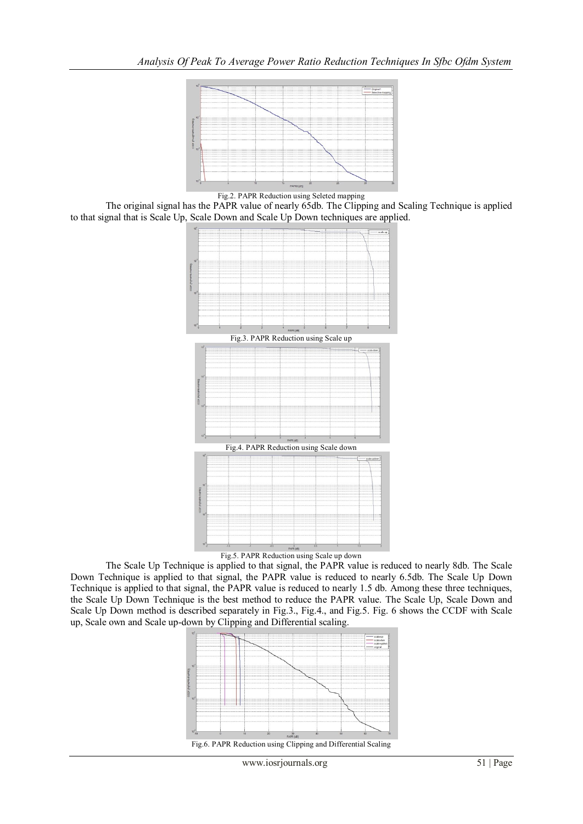

Fig.2. PAPR Reduction using Seleted mapping

The original signal has the PAPR value of nearly 65db. The Clipping and Scaling Technique is applied to that signal that is Scale Up, Scale Down and Scale Up Down techniques are applied.



Fig.5. PAPR Reduction using Scale up down

The Scale Up Technique is applied to that signal, the PAPR value is reduced to nearly 8db. The Scale Down Technique is applied to that signal, the PAPR value is reduced to nearly 6.5db. The Scale Up Down Technique is applied to that signal, the PAPR value is reduced to nearly 1.5 db. Among these three techniques, the Scale Up Down Technique is the best method to reduce the PAPR value. The Scale Up, Scale Down and Scale Up Down method is described separately in Fig.3., Fig.4., and Fig.5. Fig. 6 shows the CCDF with Scale up, Scale own and Scale up-down by Clipping and Differential scaling.



www.iosrjournals.org 51 | Page